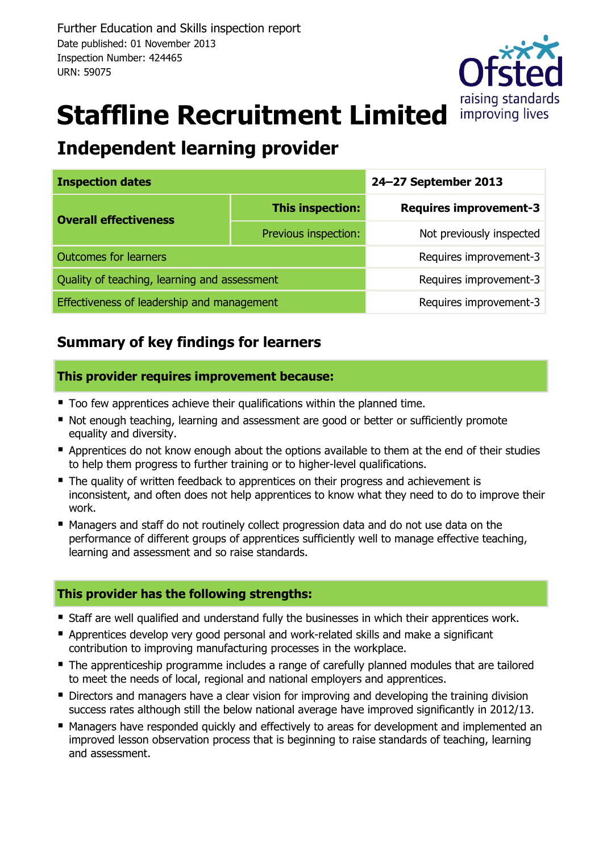

# **Staffline Recruitment Limited**

# **Independent learning provider**

| <b>Inspection dates</b>                      |                        | 24-27 September 2013          |  |  |
|----------------------------------------------|------------------------|-------------------------------|--|--|
| <b>Overall effectiveness</b>                 | This inspection:       | <b>Requires improvement-3</b> |  |  |
|                                              | Previous inspection:   | Not previously inspected      |  |  |
| <b>Outcomes for learners</b>                 | Requires improvement-3 |                               |  |  |
| Quality of teaching, learning and assessment | Requires improvement-3 |                               |  |  |
| Effectiveness of leadership and management   | Requires improvement-3 |                               |  |  |

## **Summary of key findings for learners**

#### **This provider requires improvement because:**

- Too few apprentices achieve their qualifications within the planned time.
- Not enough teaching, learning and assessment are good or better or sufficiently promote equality and diversity.
- Apprentices do not know enough about the options available to them at the end of their studies to help them progress to further training or to higher-level qualifications.
- The quality of written feedback to apprentices on their progress and achievement is inconsistent, and often does not help apprentices to know what they need to do to improve their work.
- Managers and staff do not routinely collect progression data and do not use data on the performance of different groups of apprentices sufficiently well to manage effective teaching, learning and assessment and so raise standards.

#### **This provider has the following strengths:**

- Staff are well qualified and understand fully the businesses in which their apprentices work.
- Apprentices develop very good personal and work-related skills and make a significant contribution to improving manufacturing processes in the workplace.
- The apprenticeship programme includes a range of carefully planned modules that are tailored to meet the needs of local, regional and national employers and apprentices.
- Directors and managers have a clear vision for improving and developing the training division success rates although still the below national average have improved significantly in 2012/13.
- Managers have responded quickly and effectively to areas for development and implemented an improved lesson observation process that is beginning to raise standards of teaching, learning and assessment.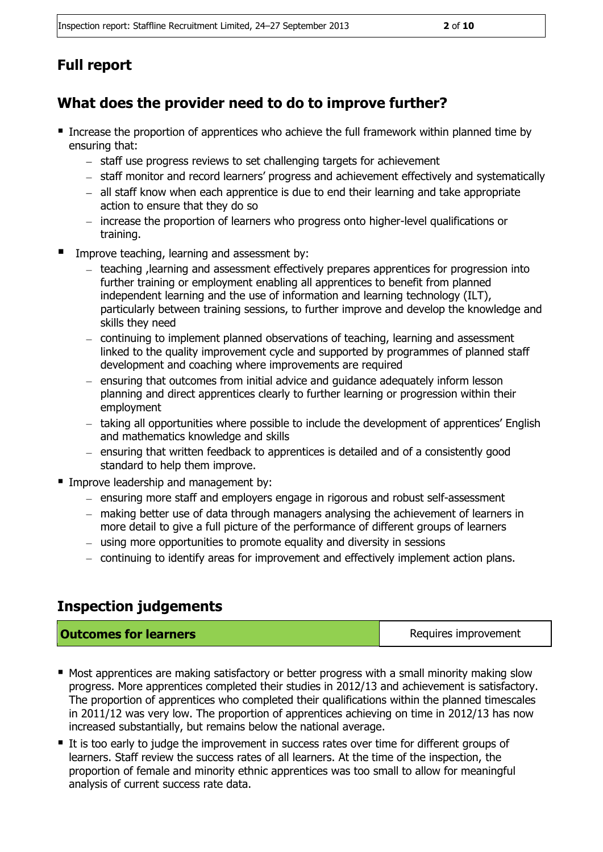## **Full report**

### **What does the provider need to do to improve further?**

- **Increase the proportion of apprentices who achieve the full framework within planned time by** ensuring that:
	- staff use progress reviews to set challenging targets for achievement
	- staff monitor and record learners' progress and achievement effectively and systematically
	- $-$  all staff know when each apprentice is due to end their learning and take appropriate action to ensure that they do so
	- increase the proportion of learners who progress onto higher-level qualifications or training.
- Improve teaching, learning and assessment by:
	- teaching , learning and assessment effectively prepares apprentices for progression into further training or employment enabling all apprentices to benefit from planned independent learning and the use of information and learning technology (ILT), particularly between training sessions, to further improve and develop the knowledge and skills they need
	- continuing to implement planned observations of teaching, learning and assessment linked to the quality improvement cycle and supported by programmes of planned staff development and coaching where improvements are required
	- $-$  ensuring that outcomes from initial advice and guidance adequately inform lesson planning and direct apprentices clearly to further learning or progression within their employment
	- $-$  taking all opportunities where possible to include the development of apprentices' English and mathematics knowledge and skills
	- $-$  ensuring that written feedback to apprentices is detailed and of a consistently good standard to help them improve.
- **Improve leadership and management by:** 
	- ensuring more staff and employers engage in rigorous and robust self-assessment
	- making better use of data through managers analysing the achievement of learners in more detail to give a full picture of the performance of different groups of learners
	- using more opportunities to promote equality and diversity in sessions
	- continuing to identify areas for improvement and effectively implement action plans.

#### **Inspection judgements**

| <b>Outcomes for learners</b> | Requires improvement |
|------------------------------|----------------------|
|------------------------------|----------------------|

- **Most apprentices are making satisfactory or better progress with a small minority making slow** progress. More apprentices completed their studies in 2012/13 and achievement is satisfactory. The proportion of apprentices who completed their qualifications within the planned timescales in 2011/12 was very low. The proportion of apprentices achieving on time in 2012/13 has now increased substantially, but remains below the national average.
- It is too early to judge the improvement in success rates over time for different groups of learners. Staff review the success rates of all learners. At the time of the inspection, the proportion of female and minority ethnic apprentices was too small to allow for meaningful analysis of current success rate data.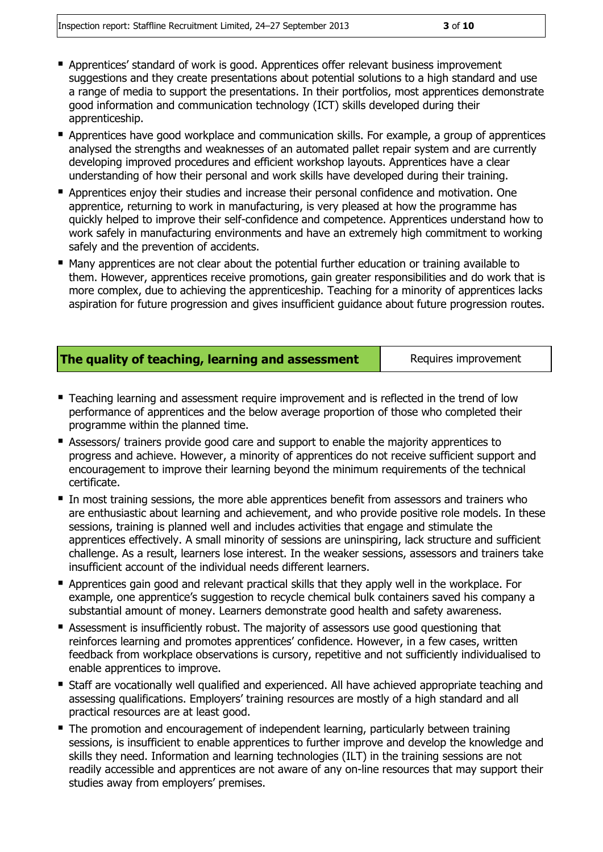- **-** Apprentices' standard of work is good. Apprentices offer relevant business improvement suggestions and they create presentations about potential solutions to a high standard and use a range of media to support the presentations. In their portfolios, most apprentices demonstrate good information and communication technology (ICT) skills developed during their apprenticeship.
- **E** Apprentices have good workplace and communication skills. For example, a group of apprentices analysed the strengths and weaknesses of an automated pallet repair system and are currently developing improved procedures and efficient workshop layouts. Apprentices have a clear understanding of how their personal and work skills have developed during their training.
- Apprentices enjoy their studies and increase their personal confidence and motivation. One apprentice, returning to work in manufacturing, is very pleased at how the programme has quickly helped to improve their self-confidence and competence. Apprentices understand how to work safely in manufacturing environments and have an extremely high commitment to working safely and the prevention of accidents.
- Many apprentices are not clear about the potential further education or training available to them. However, apprentices receive promotions, gain greater responsibilities and do work that is more complex, due to achieving the apprenticeship. Teaching for a minority of apprentices lacks aspiration for future progression and gives insufficient guidance about future progression routes.

|  |  |  | The quality of teaching, learning and assessment |
|--|--|--|--------------------------------------------------|
|  |  |  |                                                  |

Requires improvement

- Teaching learning and assessment require improvement and is reflected in the trend of low performance of apprentices and the below average proportion of those who completed their programme within the planned time.
- Assessors/ trainers provide good care and support to enable the majority apprentices to progress and achieve. However, a minority of apprentices do not receive sufficient support and encouragement to improve their learning beyond the minimum requirements of the technical certificate.
- In most training sessions, the more able apprentices benefit from assessors and trainers who are enthusiastic about learning and achievement, and who provide positive role models. In these sessions, training is planned well and includes activities that engage and stimulate the apprentices effectively. A small minority of sessions are uninspiring, lack structure and sufficient challenge. As a result, learners lose interest. In the weaker sessions, assessors and trainers take insufficient account of the individual needs different learners.
- **Apprentices gain good and relevant practical skills that they apply well in the workplace. For** example, one apprentice's suggestion to recycle chemical bulk containers saved his company a substantial amount of money. Learners demonstrate good health and safety awareness.
- Assessment is insufficiently robust. The majority of assessors use good questioning that reinforces learning and promotes apprentices' confidence. However, in a few cases, written feedback from workplace observations is cursory, repetitive and not sufficiently individualised to enable apprentices to improve.
- Staff are vocationally well qualified and experienced. All have achieved appropriate teaching and assessing qualifications. Employers' training resources are mostly of a high standard and all practical resources are at least good.
- The promotion and encouragement of independent learning, particularly between training sessions, is insufficient to enable apprentices to further improve and develop the knowledge and skills they need. Information and learning technologies (ILT) in the training sessions are not readily accessible and apprentices are not aware of any on-line resources that may support their studies away from employers' premises.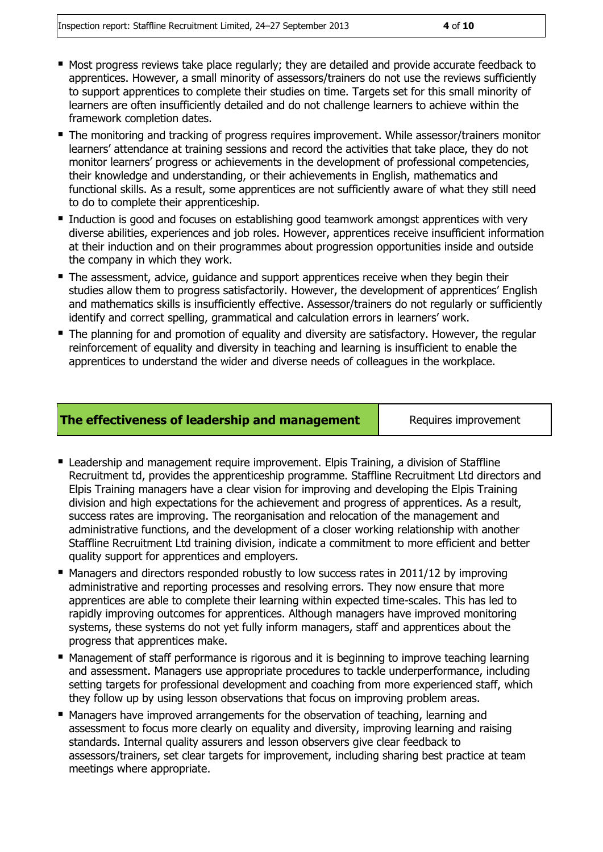- 
- Most progress reviews take place regularly; they are detailed and provide accurate feedback to apprentices. However, a small minority of assessors/trainers do not use the reviews sufficiently to support apprentices to complete their studies on time. Targets set for this small minority of learners are often insufficiently detailed and do not challenge learners to achieve within the framework completion dates.
- The monitoring and tracking of progress requires improvement. While assessor/trainers monitor learners' attendance at training sessions and record the activities that take place, they do not monitor learners' progress or achievements in the development of professional competencies, their knowledge and understanding, or their achievements in English, mathematics and functional skills. As a result, some apprentices are not sufficiently aware of what they still need to do to complete their apprenticeship.
- Induction is good and focuses on establishing good teamwork amongst apprentices with very diverse abilities, experiences and job roles. However, apprentices receive insufficient information at their induction and on their programmes about progression opportunities inside and outside the company in which they work.
- The assessment, advice, quidance and support apprentices receive when they begin their studies allow them to progress satisfactorily. However, the development of apprentices' English and mathematics skills is insufficiently effective. Assessor/trainers do not regularly or sufficiently identify and correct spelling, grammatical and calculation errors in learners' work.
- The planning for and promotion of equality and diversity are satisfactory. However, the regular reinforcement of equality and diversity in teaching and learning is insufficient to enable the apprentices to understand the wider and diverse needs of colleagues in the workplace.

#### **The effectiveness of leadership and management** Requires improvement

- Leadership and management require improvement. Elpis Training, a division of Staffline Recruitment td, provides the apprenticeship programme. Staffline Recruitment Ltd directors and Elpis Training managers have a clear vision for improving and developing the Elpis Training division and high expectations for the achievement and progress of apprentices. As a result, success rates are improving. The reorganisation and relocation of the management and administrative functions, and the development of a closer working relationship with another Staffline Recruitment Ltd training division, indicate a commitment to more efficient and better quality support for apprentices and employers.
- Managers and directors responded robustly to low success rates in 2011/12 by improving administrative and reporting processes and resolving errors. They now ensure that more apprentices are able to complete their learning within expected time-scales. This has led to rapidly improving outcomes for apprentices. Although managers have improved monitoring systems, these systems do not yet fully inform managers, staff and apprentices about the progress that apprentices make.
- Management of staff performance is rigorous and it is beginning to improve teaching learning and assessment. Managers use appropriate procedures to tackle underperformance, including setting targets for professional development and coaching from more experienced staff, which they follow up by using lesson observations that focus on improving problem areas.
- Managers have improved arrangements for the observation of teaching, learning and assessment to focus more clearly on equality and diversity, improving learning and raising standards. Internal quality assurers and lesson observers give clear feedback to assessors/trainers, set clear targets for improvement, including sharing best practice at team meetings where appropriate.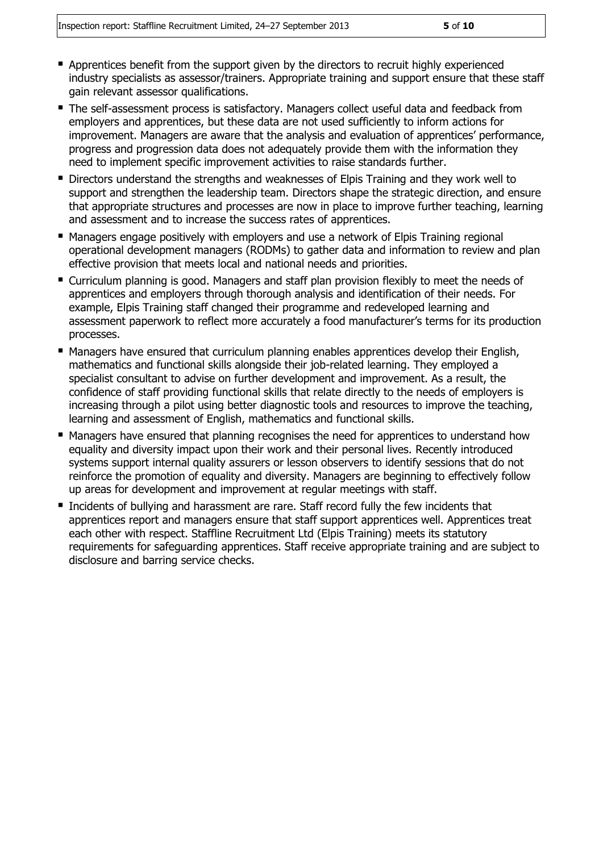- **Apprentices benefit from the support given by the directors to recruit highly experienced** industry specialists as assessor/trainers. Appropriate training and support ensure that these staff gain relevant assessor qualifications.
- The self-assessment process is satisfactory. Managers collect useful data and feedback from employers and apprentices, but these data are not used sufficiently to inform actions for improvement. Managers are aware that the analysis and evaluation of apprentices' performance, progress and progression data does not adequately provide them with the information they need to implement specific improvement activities to raise standards further.
- **Directors understand the strengths and weaknesses of Elpis Training and they work well to** support and strengthen the leadership team. Directors shape the strategic direction, and ensure that appropriate structures and processes are now in place to improve further teaching, learning and assessment and to increase the success rates of apprentices.
- Managers engage positively with employers and use a network of Elpis Training regional operational development managers (RODMs) to gather data and information to review and plan effective provision that meets local and national needs and priorities.
- Curriculum planning is good. Managers and staff plan provision flexibly to meet the needs of apprentices and employers through thorough analysis and identification of their needs. For example, Elpis Training staff changed their programme and redeveloped learning and assessment paperwork to reflect more accurately a food manufacturer's terms for its production processes.
- **Managers have ensured that curriculum planning enables apprentices develop their English,** mathematics and functional skills alongside their job-related learning. They employed a specialist consultant to advise on further development and improvement. As a result, the confidence of staff providing functional skills that relate directly to the needs of employers is increasing through a pilot using better diagnostic tools and resources to improve the teaching, learning and assessment of English, mathematics and functional skills.
- Managers have ensured that planning recognises the need for apprentices to understand how equality and diversity impact upon their work and their personal lives. Recently introduced systems support internal quality assurers or lesson observers to identify sessions that do not reinforce the promotion of equality and diversity. Managers are beginning to effectively follow up areas for development and improvement at regular meetings with staff.
- Incidents of bullying and harassment are rare. Staff record fully the few incidents that apprentices report and managers ensure that staff support apprentices well. Apprentices treat each other with respect. Staffline Recruitment Ltd (Elpis Training) meets its statutory requirements for safeguarding apprentices. Staff receive appropriate training and are subject to disclosure and barring service checks.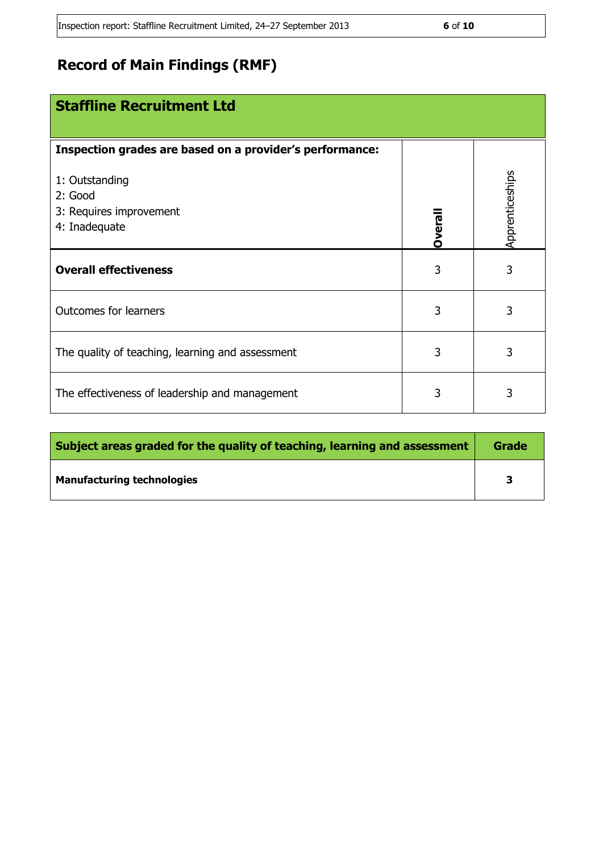## **Record of Main Findings (RMF)**

| <b>Staffline Recruitment Ltd</b>                                      |         |                 |
|-----------------------------------------------------------------------|---------|-----------------|
| Inspection grades are based on a provider's performance:              |         |                 |
| 1: Outstanding<br>2: Good<br>3: Requires improvement<br>4: Inadequate | Dverall | Apprenticeships |
| <b>Overall effectiveness</b>                                          | 3       | 3               |
| <b>Outcomes for learners</b>                                          | 3       | 3               |
| The quality of teaching, learning and assessment                      | 3       | 3               |
| The effectiveness of leadership and management                        | 3       | 3               |

| Subject areas graded for the quality of teaching, learning and assessment |  |
|---------------------------------------------------------------------------|--|
| <b>Manufacturing technologies</b>                                         |  |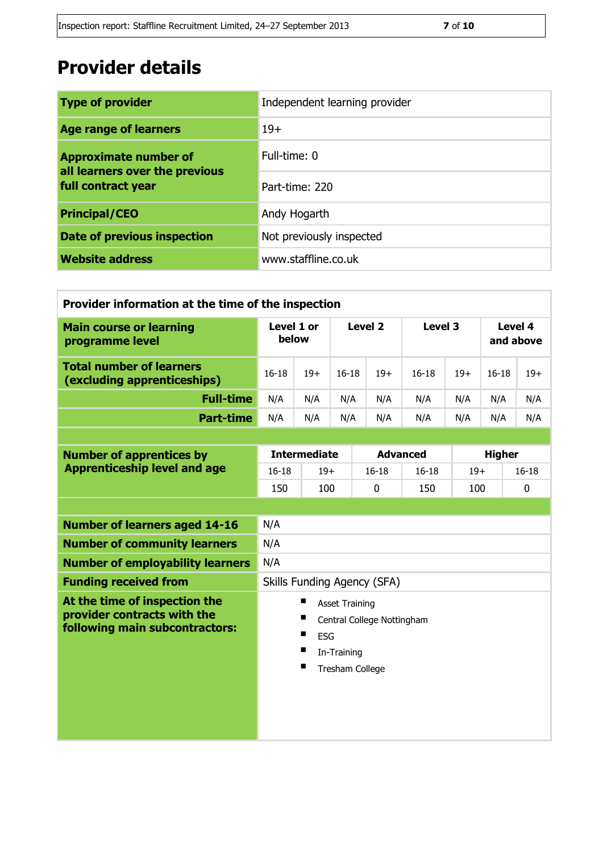# **Provider details**

| <b>Type of provider</b>                                        | Independent learning provider |  |
|----------------------------------------------------------------|-------------------------------|--|
| <b>Age range of learners</b>                                   | $19+$                         |  |
| <b>Approximate number of</b><br>all learners over the previous | Full-time: 0                  |  |
| full contract year                                             | Part-time: 220                |  |
| <b>Principal/CEO</b>                                           | Andy Hogarth                  |  |
| <b>Date of previous inspection</b>                             | Not previously inspected      |  |
| <b>Website address</b>                                         | www.staffline.co.uk           |  |

| Provider information at the time of the inspection             |                     |       |           |       |         |       |                      |       |
|----------------------------------------------------------------|---------------------|-------|-----------|-------|---------|-------|----------------------|-------|
| <b>Main course or learning</b><br>programme level              | Level 1 or<br>below |       | Level 2   |       | Level 3 |       | Level 4<br>and above |       |
| <b>Total number of learners</b><br>(excluding apprenticeships) | $16 - 18$           | $19+$ | $16 - 18$ | $19+$ | $16-18$ | $19+$ | $16 - 18$            | $19+$ |
| <b>Full-time</b>                                               | N/A                 | N/A   | N/A       | N/A   | N/A     | N/A   | N/A                  | N/A   |
| <b>Part-time</b>                                               | N/A                 | N/A   | N/A       | N/A   | N/A     | N/A   | N/A                  | N/A   |

| <b>Number of apprentices by</b><br><b>Apprenticeship level and age</b> |       | <b>Intermediate</b><br><b>Advanced</b> |       |       | <b>Higher</b> |       |
|------------------------------------------------------------------------|-------|----------------------------------------|-------|-------|---------------|-------|
|                                                                        | 16-18 | $19+$                                  | 16-18 | 16-18 | $19+$         | 16-18 |
|                                                                        | 150   | 100                                    |       | 150   | 100           |       |

| <b>Number of learners aged 14-16</b>                                                           | N/A                                                                                          |
|------------------------------------------------------------------------------------------------|----------------------------------------------------------------------------------------------|
| <b>Number of community learners</b>                                                            | N/A                                                                                          |
| <b>Number of employability learners</b>                                                        | N/A                                                                                          |
| <b>Funding received from</b>                                                                   | Skills Funding Agency (SFA)                                                                  |
| At the time of inspection the<br>provider contracts with the<br>following main subcontractors: | <b>Asset Training</b><br>Central College Nottingham<br>ESG<br>In-Training<br>Tresham College |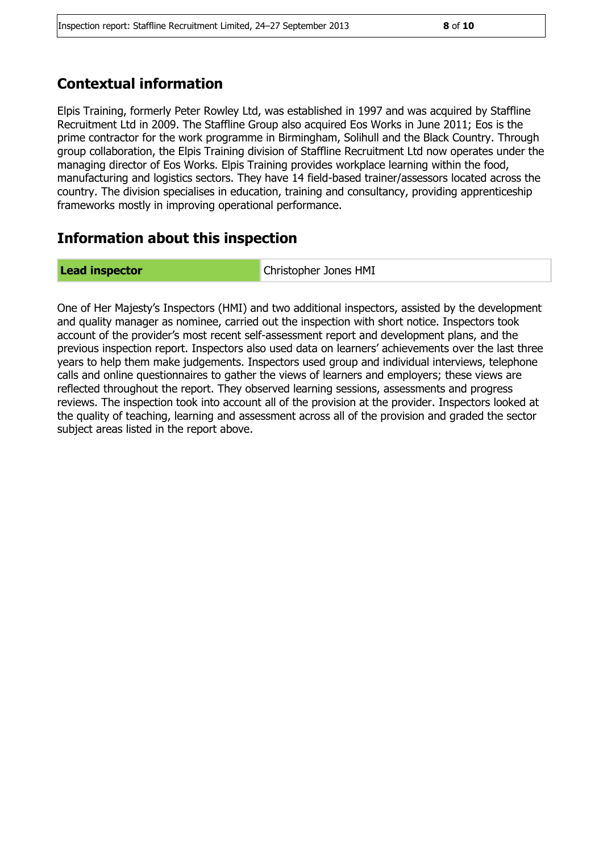#### **Contextual information**

Elpis Training, formerly Peter Rowley Ltd, was established in 1997 and was acquired by Staffline Recruitment Ltd in 2009. The Staffline Group also acquired Eos Works in June 2011; Eos is the prime contractor for the work programme in Birmingham, Solihull and the Black Country. Through group collaboration, the Elpis Training division of Staffline Recruitment Ltd now operates under the managing director of Eos Works. Elpis Training provides workplace learning within the food, manufacturing and logistics sectors. They have 14 field-based trainer/assessors located across the country. The division specialises in education, training and consultancy, providing apprenticeship frameworks mostly in improving operational performance.

#### **Information about this inspection**

**Lead inspector** Christopher Jones HMI

One of Her Majesty's Inspectors (HMI) and two additional inspectors, assisted by the development and quality manager as nominee, carried out the inspection with short notice. Inspectors took account of the provider's most recent self-assessment report and development plans, and the previous inspection report. Inspectors also used data on learners' achievements over the last three years to help them make judgements. Inspectors used group and individual interviews, telephone calls and online questionnaires to gather the views of learners and employers; these views are reflected throughout the report. They observed learning sessions, assessments and progress reviews. The inspection took into account all of the provision at the provider. Inspectors looked at the quality of teaching, learning and assessment across all of the provision and graded the sector subject areas listed in the report above.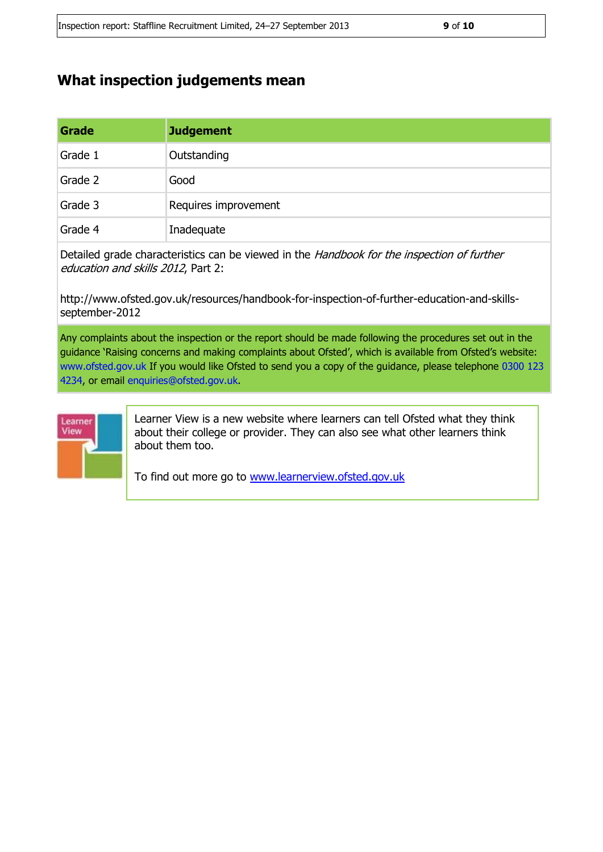## **What inspection judgements mean**

| Grade   | <b>Judgement</b>     |
|---------|----------------------|
| Grade 1 | Outstanding          |
| Grade 2 | Good                 |
| Grade 3 | Requires improvement |
| Grade 4 | Inadequate           |

Detailed grade characteristics can be viewed in the Handbook for the inspection of further education and skills 2012, Part 2:

http://www.ofsted.gov.uk/resources/handbook-for-inspection-of-further-education-and-skillsseptember-2012

Any complaints about the inspection or the report should be made following the procedures set out in the guidance 'Raising concerns and making complaints about Ofsted', which is available from Ofsted's website: www.ofsted.gov.uk If you would like Ofsted to send you a copy of the guidance, please telephone 0300 123 4234, or email enquiries@ofsted.gov.uk.



Learner View is a new website where learners can tell Ofsted what they think about their college or provider. They can also see what other learners think about them too.

To find out more go to [www.learnerview.ofsted.gov.uk](http://www.learnerview.ofsted.gov.uk/)